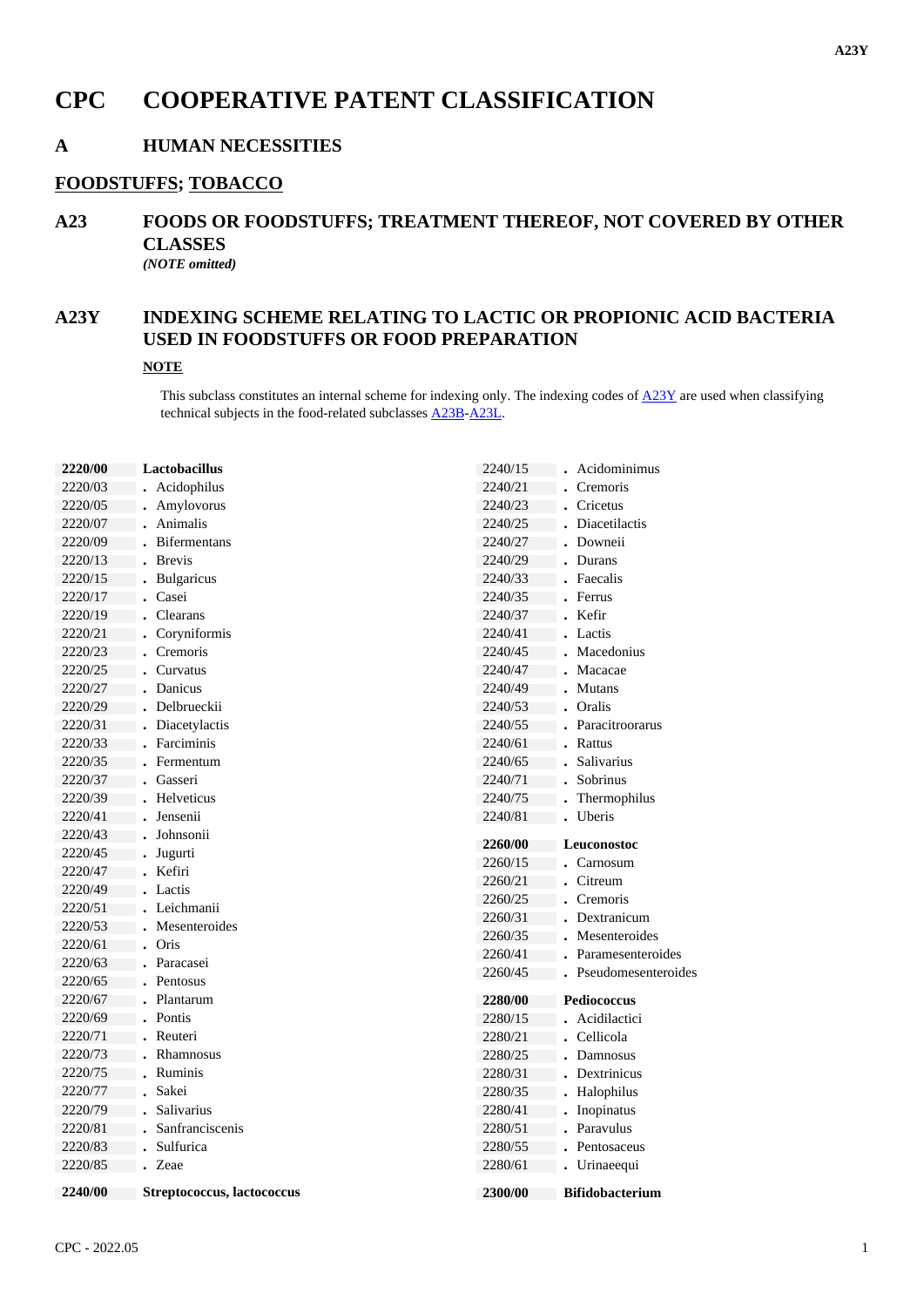# **CPC COOPERATIVE PATENT CLASSIFICATION**

### **A HUMAN NECESSITIES**

#### **FOODSTUFFS; TOBACCO**

# **A23 FOODS OR FOODSTUFFS; TREATMENT THEREOF, NOT COVERED BY OTHER CLASSES**

*(NOTE omitted)*

### **A23Y INDEXING SCHEME RELATING TO LACTIC OR PROPIONIC ACID BACTERIA USED IN FOODSTUFFS OR FOOD PREPARATION**

### **NOTE**

This subclass constitutes an internal scheme for indexing only. The indexing codes of  $\underline{A23Y}$  are used when classifying technical subjects in the food-related subclasses A23B-A23L.

| 2220/00 | Lactobacillus       | 2240/15 | Acidominimus        |
|---------|---------------------|---------|---------------------|
| 2220/03 | Acidophilus         | 2240/21 | Cremoris            |
| 2220/05 | • Amylovorus        | 2240/23 | Cricetus            |
| 2220/07 | Animalis            | 2240/25 | Diacetilactis       |
| 2220/09 | <b>Bifermentans</b> | 2240/27 | Downeii             |
| 2220/13 | <b>Brevis</b>       | 2240/29 | Durans              |
| 2220/15 | <b>Bulgaricus</b>   | 2240/33 | Faecalis            |
| 2220/17 | Casei               | 2240/35 | Ferrus              |
| 2220/19 | . Clearans          | 2240/37 | . Kefir             |
| 2220/21 | Coryniformis        | 2240/41 | . Lactis            |
| 2220/23 | Cremoris            | 2240/45 | Macedonius          |
| 2220/25 | Curvatus            | 2240/47 | Macacae             |
| 2220/27 | Danicus             | 2240/49 | <b>Mutans</b>       |
| 2220/29 | Delbrueckii         | 2240/53 | Oralis              |
| 2220/31 | Diacetylactis       | 2240/55 | Paracitroorarus     |
| 2220/33 | Farciminis          | 2240/61 | Rattus              |
| 2220/35 | Fermentum           | 2240/65 | Salivarius          |
| 2220/37 | Gasseri             | 2240/71 | Sobrinus            |
| 2220/39 | Helveticus          | 2240/75 | Thermophilus        |
| 2220/41 | Jensenii            | 2240/81 | Uberis              |
|         |                     |         |                     |
| 2220/43 | Johnsonii           |         |                     |
| 2220/45 | Jugurti             | 2260/00 | Leuconostoc         |
| 2220/47 | Kefiri              | 2260/15 | Carnosum            |
| 2220/49 | Lactis              | 2260/21 | Citreum             |
| 2220/51 | Leichmanii          | 2260/25 | Cremoris            |
| 2220/53 | Mesenteroides       | 2260/31 | Dextranicum         |
| 2220/61 | Oris                | 2260/35 | Mesenteroides       |
| 2220/63 | Paracasei           | 2260/41 | Paramesenteroides   |
| 2220/65 | Pentosus            | 2260/45 | Pseudomesenteroides |
| 2220/67 | Plantarum           | 2280/00 | Pediococcus         |
| 2220/69 | Pontis              | 2280/15 | Acidilactici        |
| 2220/71 | Reuteri             | 2280/21 | Cellicola           |
| 2220/73 | Rhamnosus           | 2280/25 | Damnosus            |
| 2220/75 | Ruminis             | 2280/31 | Dextrinicus         |
| 2220/77 | Sakei               | 2280/35 | Halophilus          |
| 2220/79 | Salivarius          | 2280/41 | Inopinatus          |
| 2220/81 | Sanfranciscenis     | 2280/51 | Paravulus           |
| 2220/83 | Sulfurica           | 2280/55 | Pentosaceus         |
| 2220/85 | <i>Zeae</i>         | 2280/61 | Urinaeequi          |